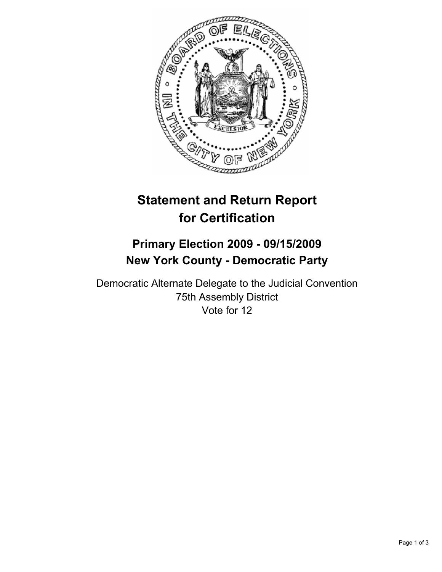

# **Statement and Return Report for Certification**

## **Primary Election 2009 - 09/15/2009 New York County - Democratic Party**

Democratic Alternate Delegate to the Judicial Convention 75th Assembly District Vote for 12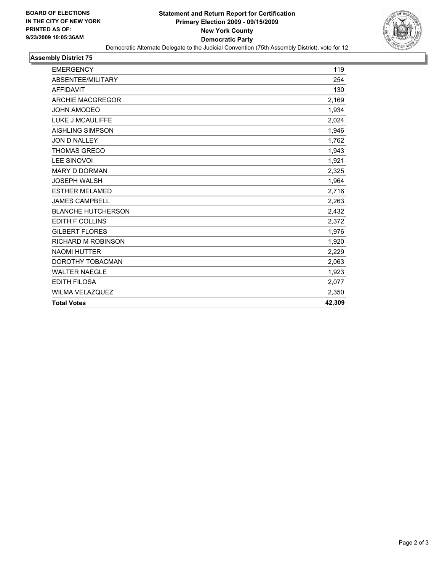

#### **Assembly District 75**

| <b>EMERGENCY</b>          | 119    |
|---------------------------|--------|
| ABSENTEE/MILITARY         | 254    |
| <b>AFFIDAVIT</b>          | 130    |
| <b>ARCHIE MACGREGOR</b>   | 2,169  |
| <b>JOHN AMODEO</b>        | 1,934  |
| LUKE J MCAULIFFE          | 2,024  |
| <b>AISHLING SIMPSON</b>   | 1,946  |
| <b>JON D NALLEY</b>       | 1,762  |
| <b>THOMAS GRECO</b>       | 1,943  |
| <b>LEE SINOVOI</b>        | 1,921  |
| <b>MARY D DORMAN</b>      | 2,325  |
| <b>JOSEPH WALSH</b>       | 1,964  |
| <b>ESTHER MELAMED</b>     | 2,716  |
| <b>JAMES CAMPBELL</b>     | 2,263  |
| <b>BLANCHE HUTCHERSON</b> | 2,432  |
| EDITH F COLLINS           | 2,372  |
| <b>GILBERT FLORES</b>     | 1,976  |
| <b>RICHARD M ROBINSON</b> | 1,920  |
| <b>NAOMI HUTTER</b>       | 2,229  |
| DOROTHY TOBACMAN          | 2,063  |
| <b>WALTER NAEGLE</b>      | 1,923  |
| <b>EDITH FILOSA</b>       | 2,077  |
| <b>WILMA VELAZQUEZ</b>    | 2,350  |
| <b>Total Votes</b>        | 42,309 |